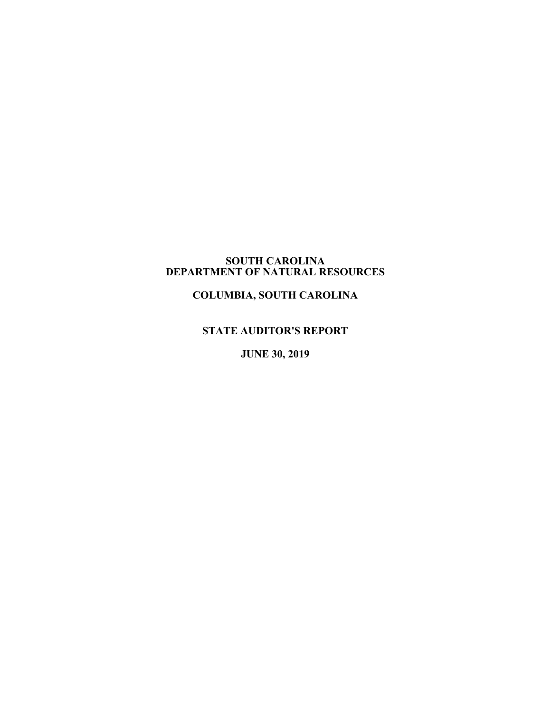#### **SOUTH CAROLINA DEPARTMENT OF NATURAL RESOURCES**

**COLUMBIA, SOUTH CAROLINA**

# **STATE AUDITOR'S REPORT**

**JUNE 30, 2019**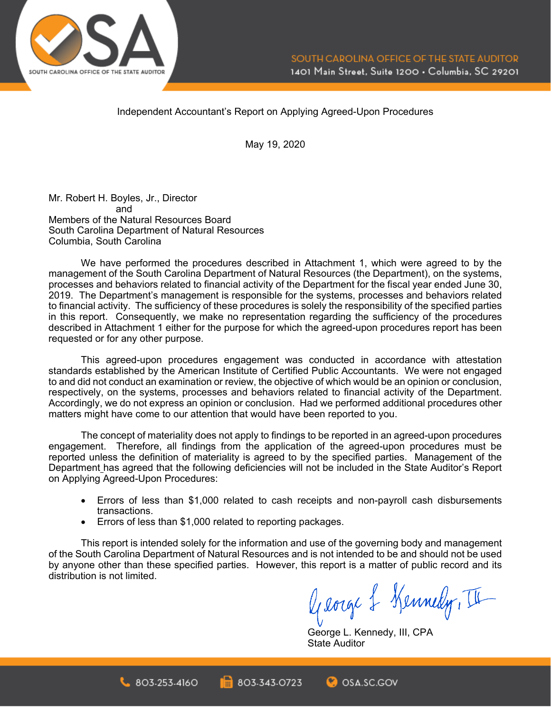

Independent Accountant's Report on Applying Agreed-Upon Procedures

May 19, 2020

Mr. Robert H. Boyles, Jr., Director and Members of the Natural Resources Board South Carolina Department of Natural Resources Columbia, South Carolina

We have performed the procedures described in Attachment 1, which were agreed to by the management of the South Carolina Department of Natural Resources (the Department), on the systems, processes and behaviors related to financial activity of the Department for the fiscal year ended June 30, 2019. The Department's management is responsible for the systems, processes and behaviors related to financial activity. The sufficiency of these procedures is solely the responsibility of the specified parties in this report. Consequently, we make no representation regarding the sufficiency of the procedures described in Attachment 1 either for the purpose for which the agreed-upon procedures report has been requested or for any other purpose.

This agreed-upon procedures engagement was conducted in accordance with attestation standards established by the American Institute of Certified Public Accountants. We were not engaged to and did not conduct an examination or review, the objective of which would be an opinion or conclusion, respectively, on the systems, processes and behaviors related to financial activity of the Department. Accordingly, we do not express an opinion or conclusion. Had we performed additional procedures other matters might have come to our attention that would have been reported to you.

The concept of materiality does not apply to findings to be reported in an agreed-upon procedures engagement. Therefore, all findings from the application of the agreed-upon procedures must be reported unless the definition of materiality is agreed to by the specified parties. Management of the Department has agreed that the following deficiencies will not be included in the State Auditor's Report on Applying Agreed-Upon Procedures:

- Errors of less than \$1,000 related to cash receipts and non-payroll cash disbursements transactions.
- Errors of less than \$1,000 related to reporting packages.

 $803.253.4160$ 

This report is intended solely for the information and use of the governing body and management of the South Carolina Department of Natural Resources and is not intended to be and should not be used by anyone other than these specified parties. However, this report is a matter of public record and its distribution is not limited.

803-343-0723

George & Kennedy, II

George L. Kennedy, III, CPA State Auditor

OSA.SC.GOV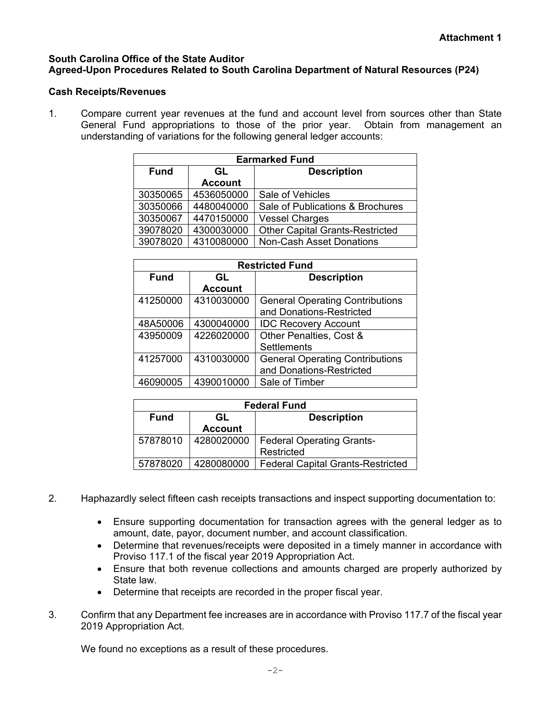### **South Carolina Office of the State Auditor Agreed-Upon Procedures Related to South Carolina Department of Natural Resources (P24)**

### **Cash Receipts/Revenues**

1. Compare current year revenues at the fund and account level from sources other than State General Fund appropriations to those of the prior year. Obtain from management an understanding of variations for the following general ledger accounts:

| <b>Earmarked Fund</b> |                |                                        |  |  |  |
|-----------------------|----------------|----------------------------------------|--|--|--|
| <b>Fund</b>           | GL             | <b>Description</b>                     |  |  |  |
|                       | <b>Account</b> |                                        |  |  |  |
| 30350065              | 4536050000     | Sale of Vehicles                       |  |  |  |
| 30350066              | 4480040000     | Sale of Publications & Brochures       |  |  |  |
| 30350067              | 4470150000     | <b>Vessel Charges</b>                  |  |  |  |
| 39078020              | 4300030000     | <b>Other Capital Grants-Restricted</b> |  |  |  |
| 39078020              | 4310080000     | <b>Non-Cash Asset Donations</b>        |  |  |  |

| <b>Restricted Fund</b> |                |                                        |  |  |  |
|------------------------|----------------|----------------------------------------|--|--|--|
| <b>Fund</b>            | GL             | <b>Description</b>                     |  |  |  |
|                        | <b>Account</b> |                                        |  |  |  |
| 41250000               | 4310030000     | <b>General Operating Contributions</b> |  |  |  |
|                        |                | and Donations-Restricted               |  |  |  |
| 48A50006               | 4300040000     | <b>IDC Recovery Account</b>            |  |  |  |
| 43950009               | 4226020000     | Other Penalties, Cost &                |  |  |  |
|                        |                | <b>Settlements</b>                     |  |  |  |
| 41257000               | 4310030000     | <b>General Operating Contributions</b> |  |  |  |
|                        |                | and Donations-Restricted               |  |  |  |
| 46090005               | 4390010000     | Sale of Timber                         |  |  |  |

| <b>Federal Fund</b> |                |                                          |  |  |  |
|---------------------|----------------|------------------------------------------|--|--|--|
| <b>Fund</b>         | GL             | <b>Description</b>                       |  |  |  |
|                     | <b>Account</b> |                                          |  |  |  |
| 57878010            | 4280020000     | <b>Federal Operating Grants-</b>         |  |  |  |
|                     |                | Restricted                               |  |  |  |
| 57878020            | 4280080000     | <b>Federal Capital Grants-Restricted</b> |  |  |  |

- 2. Haphazardly select fifteen cash receipts transactions and inspect supporting documentation to:
	- Ensure supporting documentation for transaction agrees with the general ledger as to amount, date, payor, document number, and account classification.
	- Determine that revenues/receipts were deposited in a timely manner in accordance with Proviso 117.1 of the fiscal year 2019 Appropriation Act.
	- Ensure that both revenue collections and amounts charged are properly authorized by State law.
	- Determine that receipts are recorded in the proper fiscal year.
- 3. Confirm that any Department fee increases are in accordance with Proviso 117.7 of the fiscal year 2019 Appropriation Act.

We found no exceptions as a result of these procedures.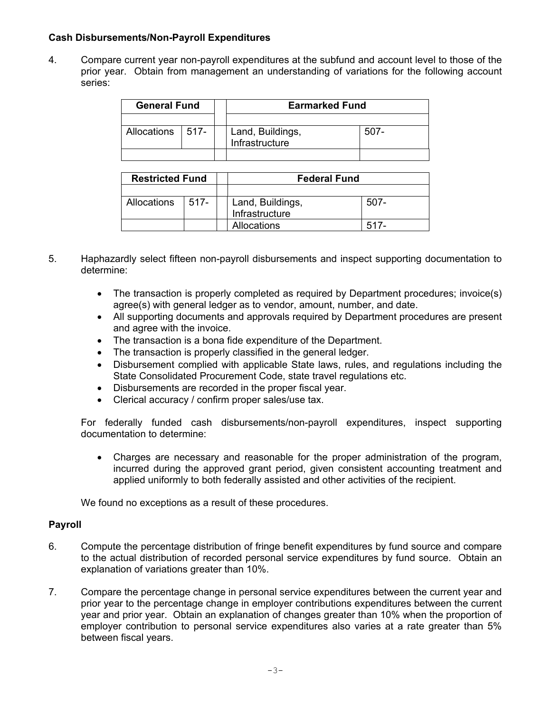### **Cash Disbursements/Non-Payroll Expenditures**

4. Compare current year non-payroll expenditures at the subfund and account level to those of the prior year. Obtain from management an understanding of variations for the following account series:

| <b>General Fund</b> |  | <b>Earmarked Fund</b>              |      |  |
|---------------------|--|------------------------------------|------|--|
|                     |  |                                    |      |  |
| Allocations   517-  |  | Land, Buildings,<br>Infrastructure | 507- |  |
|                     |  |                                    |      |  |

| <b>Restricted Fund</b> |         | <b>Federal Fund</b> |      |  |
|------------------------|---------|---------------------|------|--|
|                        |         |                     |      |  |
| Allocations            | $517 -$ | Land, Buildings,    | 507- |  |
|                        |         | Infrastructure      |      |  |
|                        |         | Allocations         | 517- |  |

- 5. Haphazardly select fifteen non-payroll disbursements and inspect supporting documentation to determine:
	- The transaction is properly completed as required by Department procedures; invoice(s) agree(s) with general ledger as to vendor, amount, number, and date.
	- All supporting documents and approvals required by Department procedures are present and agree with the invoice.
	- The transaction is a bona fide expenditure of the Department.
	- The transaction is properly classified in the general ledger.
	- Disbursement complied with applicable State laws, rules, and regulations including the State Consolidated Procurement Code, state travel regulations etc.
	- Disbursements are recorded in the proper fiscal year.
	- Clerical accuracy / confirm proper sales/use tax.

For federally funded cash disbursements/non-payroll expenditures, inspect supporting documentation to determine:

• Charges are necessary and reasonable for the proper administration of the program, incurred during the approved grant period, given consistent accounting treatment and applied uniformly to both federally assisted and other activities of the recipient.

We found no exceptions as a result of these procedures.

### **Payroll**

- 6. Compute the percentage distribution of fringe benefit expenditures by fund source and compare to the actual distribution of recorded personal service expenditures by fund source. Obtain an explanation of variations greater than 10%.
- 7. Compare the percentage change in personal service expenditures between the current year and prior year to the percentage change in employer contributions expenditures between the current year and prior year. Obtain an explanation of changes greater than 10% when the proportion of employer contribution to personal service expenditures also varies at a rate greater than 5% between fiscal years.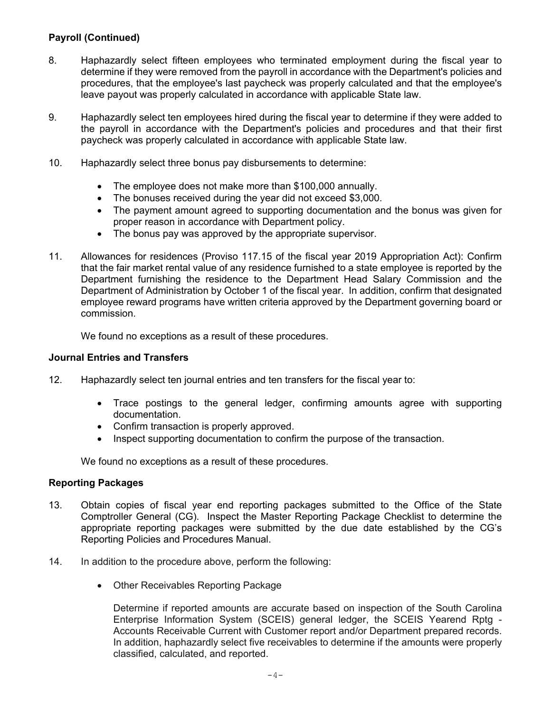# **Payroll (Continued)**

- 8. Haphazardly select fifteen employees who terminated employment during the fiscal year to determine if they were removed from the payroll in accordance with the Department's policies and procedures, that the employee's last paycheck was properly calculated and that the employee's leave payout was properly calculated in accordance with applicable State law.
- 9. Haphazardly select ten employees hired during the fiscal year to determine if they were added to the payroll in accordance with the Department's policies and procedures and that their first paycheck was properly calculated in accordance with applicable State law.
- 10. Haphazardly select three bonus pay disbursements to determine:
	- The employee does not make more than \$100,000 annually.
	- The bonuses received during the year did not exceed \$3,000.
	- The payment amount agreed to supporting documentation and the bonus was given for proper reason in accordance with Department policy.
	- The bonus pay was approved by the appropriate supervisor.
- 11. Allowances for residences (Proviso 117.15 of the fiscal year 2019 Appropriation Act): Confirm that the fair market rental value of any residence furnished to a state employee is reported by the Department furnishing the residence to the Department Head Salary Commission and the Department of Administration by October 1 of the fiscal year. In addition, confirm that designated employee reward programs have written criteria approved by the Department governing board or commission.

We found no exceptions as a result of these procedures.

#### **Journal Entries and Transfers**

- 12. Haphazardly select ten journal entries and ten transfers for the fiscal year to:
	- Trace postings to the general ledger, confirming amounts agree with supporting documentation.
	- Confirm transaction is properly approved.
	- Inspect supporting documentation to confirm the purpose of the transaction.

We found no exceptions as a result of these procedures.

#### **Reporting Packages**

- 13. Obtain copies of fiscal year end reporting packages submitted to the Office of the State Comptroller General (CG). Inspect the Master Reporting Package Checklist to determine the appropriate reporting packages were submitted by the due date established by the CG's Reporting Policies and Procedures Manual.
- 14. In addition to the procedure above, perform the following:
	- Other Receivables Reporting Package

Determine if reported amounts are accurate based on inspection of the South Carolina Enterprise Information System (SCEIS) general ledger, the SCEIS Yearend Rptg - Accounts Receivable Current with Customer report and/or Department prepared records. In addition, haphazardly select five receivables to determine if the amounts were properly classified, calculated, and reported.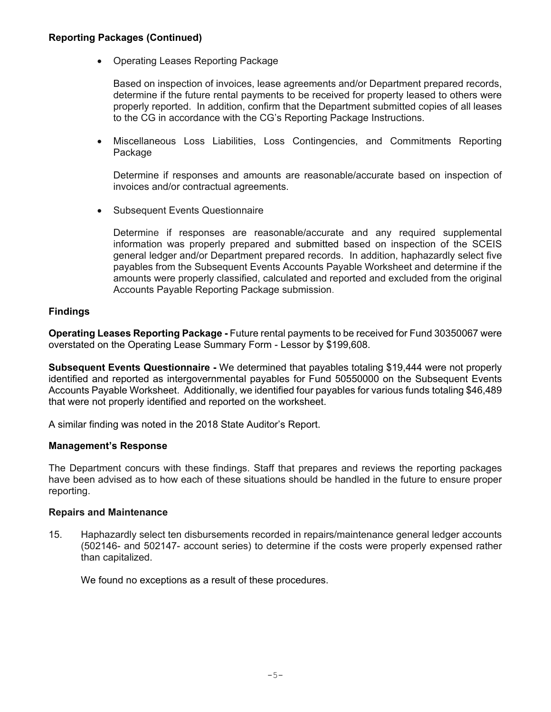### **Reporting Packages (Continued)**

• Operating Leases Reporting Package

Based on inspection of invoices, lease agreements and/or Department prepared records, determine if the future rental payments to be received for property leased to others were properly reported. In addition, confirm that the Department submitted copies of all leases to the CG in accordance with the CG's Reporting Package Instructions.

• Miscellaneous Loss Liabilities, Loss Contingencies, and Commitments Reporting Package

Determine if responses and amounts are reasonable/accurate based on inspection of invoices and/or contractual agreements.

• Subsequent Events Questionnaire

Determine if responses are reasonable/accurate and any required supplemental information was properly prepared and submitted based on inspection of the SCEIS general ledger and/or Department prepared records. In addition, haphazardly select five payables from the Subsequent Events Accounts Payable Worksheet and determine if the amounts were properly classified, calculated and reported and excluded from the original Accounts Payable Reporting Package submission.

# **Findings**

**Operating Leases Reporting Package -** Future rental payments to be received for Fund 30350067 were overstated on the Operating Lease Summary Form - Lessor by \$199,608.

**Subsequent Events Questionnaire -** We determined that payables totaling \$19,444 were not properly identified and reported as intergovernmental payables for Fund 50550000 on the Subsequent Events Accounts Payable Worksheet.Additionally, we identified four payables for various funds totaling \$46,489 that were not properly identified and reported on the worksheet.

A similar finding was noted in the 2018 State Auditor's Report.

#### **Management's Response**

The Department concurs with these findings. Staff that prepares and reviews the reporting packages have been advised as to how each of these situations should be handled in the future to ensure proper reporting.

#### **Repairs and Maintenance**

15. Haphazardly select ten disbursements recorded in repairs/maintenance general ledger accounts (502146- and 502147- account series) to determine if the costs were properly expensed rather than capitalized.

We found no exceptions as a result of these procedures.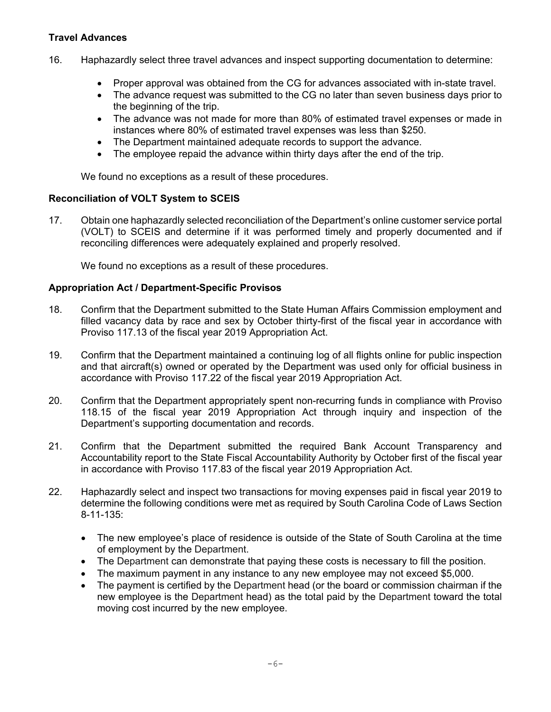# **Travel Advances**

- 16. Haphazardly select three travel advances and inspect supporting documentation to determine:
	- Proper approval was obtained from the CG for advances associated with in-state travel.
	- The advance request was submitted to the CG no later than seven business days prior to the beginning of the trip.
	- The advance was not made for more than 80% of estimated travel expenses or made in instances where 80% of estimated travel expenses was less than \$250.
	- The Department maintained adequate records to support the advance.
	- The employee repaid the advance within thirty days after the end of the trip.

We found no exceptions as a result of these procedures.

#### **Reconciliation of VOLT System to SCEIS**

17. Obtain one haphazardly selected reconciliation of the Department's online customer service portal (VOLT) to SCEIS and determine if it was performed timely and properly documented and if reconciling differences were adequately explained and properly resolved.

We found no exceptions as a result of these procedures.

#### **Appropriation Act / Department-Specific Provisos**

- 18. Confirm that the Department submitted to the State Human Affairs Commission employment and filled vacancy data by race and sex by October thirty-first of the fiscal year in accordance with Proviso 117.13 of the fiscal year 2019 Appropriation Act.
- 19. Confirm that the Department maintained a continuing log of all flights online for public inspection and that aircraft(s) owned or operated by the Department was used only for official business in accordance with Proviso 117.22 of the fiscal year 2019 Appropriation Act.
- 20. Confirm that the Department appropriately spent non-recurring funds in compliance with Proviso 118.15 of the fiscal year 2019 Appropriation Act through inquiry and inspection of the Department's supporting documentation and records.
- 21. Confirm that the Department submitted the required Bank Account Transparency and Accountability report to the State Fiscal Accountability Authority by October first of the fiscal year in accordance with Proviso 117.83 of the fiscal year 2019 Appropriation Act.
- 22. Haphazardly select and inspect two transactions for moving expenses paid in fiscal year 2019 to determine the following conditions were met as required by South Carolina Code of Laws Section 8-11-135:
	- The new employee's place of residence is outside of the State of South Carolina at the time of employment by the Department.
	- The Department can demonstrate that paying these costs is necessary to fill the position.
	- The maximum payment in any instance to any new employee may not exceed \$5,000.
	- The payment is certified by the Department head (or the board or commission chairman if the new employee is the Department head) as the total paid by the Department toward the total moving cost incurred by the new employee.